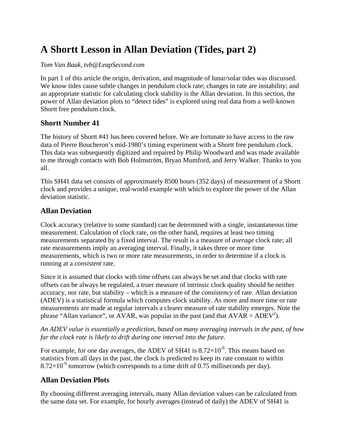# **A Shortt Lesson in Allan Deviation (Tides, part 2)**

#### *Tom Van Baak, tvb@LeapSecond.com*

In part 1 of this article the origin, derivation, and magnitude of lunar/solar tides was discussed. We know tides cause subtle changes in pendulum clock rate; changes in rate are instability; and an appropriate statistic for calculating clock stability is the Allan deviation. In this section, the power of Allan deviation plots to "detect tides" is explored using real data from a well-known Shortt free pendulum clock.

#### **Shortt Number 41**

The history of Shortt #41 has been covered before. We are fortunate to have access to the raw data of Pierre Boucheron's mid-1980's timing experiment with a Shortt free pendulum clock. This data was subsequently digitized and repaired by Philip Woodward and was made available to me through contacts with Bob Holmström, Bryan Mumford, and Jerry Walker. Thanks to you all.

This SH41 data set consists of approximately 8500 hours (352 days) of measurement of a Shortt clock and provides a unique, real-world example with which to explore the power of the Allan deviation statistic.

### **Allan Deviation**

Clock accuracy (relative to some standard) can be determined with a single, instantaneous time measurement. Calculation of clock rate, on the other hand, requires at least two timing measurements separated by a fixed interval. The result is a measure of *average* clock rate; all rate measurements imply an averaging interval. Finally, it takes three or more time measurements, which is two or more rate measurements, in order to determine if a clock is running at a *consistent* rate.

Since it is assumed that clocks with time offsets can always be set and that clocks with rate offsets can be always be regulated, a truer measure of intrinsic clock quality should be neither accuracy, nor rate, but stability – which is a measure of the *consistency* of rate. Allan deviation (ADEV) is a statistical formula which computes clock stability. As more and more time or rate measurements are made at regular intervals a clearer measure of rate stability emerges. Note the phrase "Allan variance", or AVAR, was popular in the past (and that  $AVAR = ADEV^2$ ).

*An ADEV value is essentially a prediction, based on many averaging intervals in the past, of how far the clock rate is likely to drift during one interval into the future.* 

For example, for one day averages, the ADEV of SH41 is  $8.72\times10^{-9}$ . This means based on statistics from all days in the past, the clock is predicted to keep its rate constant to within  $8.72\times10^{-9}$  tomorrow (which corresponds to a time drift of 0.75 milliseconds per day).

### **Allan Deviation Plots**

By choosing different averaging intervals, many Allan deviation values can be calculated from the same data set. For example, for hourly averages (instead of daily) the ADEV of SH41 is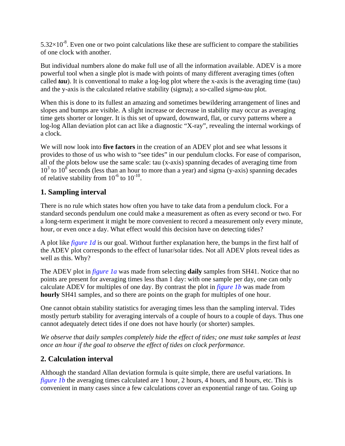$5.32\times10^{-8}$ . Even one or two point calculations like these are sufficient to compare the stabilities of one clock with another.

But individual numbers alone do make full use of all the information available. ADEV is a more powerful tool when a single plot is made with points of many different averaging times (often called *tau*). It is conventional to make a log-log plot where the x-axis is the averaging time (tau) and the y-axis is the calculated relative stability (sigma); a so-called *sigma-tau* plot.

When this is done to its fullest an amazing and sometimes bewildering arrangement of lines and slopes and bumps are visible. A slight increase or decrease in stability may occur as averaging time gets shorter or longer. It is this set of upward, downward, flat, or curvy patterns where a log-log Allan deviation plot can act like a diagnostic "X-ray", revealing the internal workings of a clock.

We will now look into **five factors** in the creation of an ADEV plot and see what lessons it provides to those of us who wish to "see tides" in our pendulum clocks. For ease of comparison, all of the plots below use the same scale: tau (x-axis) spanning decades of averaging time from  $10<sup>3</sup>$  to  $10<sup>8</sup>$  seconds (less than an hour to more than a year) and sigma (y-axis) spanning decades of relative stability from  $10^{-6}$  to  $10^{-10}$ .

## **1. Sampling interval**

There is no rule which states how often you have to take data from a pendulum clock. For a standard seconds pendulum one could make a measurement as often as every second or two. For a long-term experiment it might be more convenient to record a measurement only every minute, hour, or even once a day. What effect would this decision have on detecting tides?

A plot like *figure 1d* is our goal. Without further explanation here, the bumps in the first half of the ADEV plot corresponds to the effect of lunar/solar tides. Not all ADEV plots reveal tides as well as this. Why?

The ADEV plot in *figure 1a* was made from selecting **daily** samples from SH41. Notice that no points are present for averaging times less than 1 day: with one sample per day, one can only calculate ADEV for multiples of one day. By contrast the plot in *figure 1b* was made from **hourly** SH41 samples, and so there are points on the graph for multiples of one hour.

One cannot obtain stability statistics for averaging times less than the sampling interval. Tides mostly perturb stability for averaging intervals of a couple of hours to a couple of days. Thus one cannot adequately detect tides if one does not have hourly (or shorter) samples.

*We observe that daily samples completely hide the effect of tides; one must take samples at least once an hour if the goal to observe the effect of tides on clock performance.* 

# **2. Calculation interval**

Although the standard Allan deviation formula is quite simple, there are useful variations. In *figure 1b* the averaging times calculated are 1 hour, 2 hours, 4 hours, and 8 hours, etc. This is convenient in many cases since a few calculations cover an exponential range of tau. Going up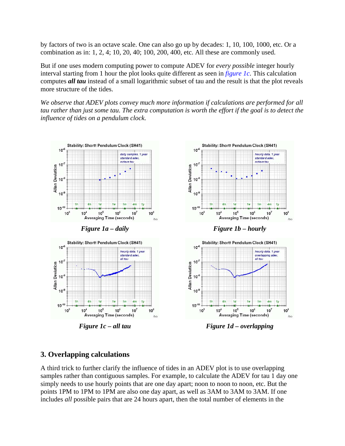by factors of two is an octave scale. One can also go up by decades: 1, 10, 100, 1000, etc. Or a combination as in: 1, 2, 4; 10, 20, 40; 100, 200, 400, etc. All these are commonly used.

But if one uses modern computing power to compute ADEV for *every possible* integer hourly interval starting from 1 hour the plot looks quite different as seen in *figure 1c*. This calculation computes *all tau* instead of a small logarithmic subset of tau and the result is that the plot reveals more structure of the tides.

*We observe that ADEV plots convey much more information if calculations are performed for all tau rather than just some tau. The extra computation is worth the effort if the goal is to detect the influence of tides on a pendulum clock.*



*Figure 1c – all tau* Figure 1d – overlapping

## **3. Overlapping calculations**

A third trick to further clarify the influence of tides in an ADEV plot is to use overlapping samples rather than contiguous samples. For example, to calculate the ADEV for tau 1 day one simply needs to use hourly points that are one day apart; noon to noon to noon, etc. But the points 1PM to 1PM to 1PM are also one day apart, as well as 3AM to 3AM to 3AM. If one includes *all* possible pairs that are 24 hours apart, then the total number of elements in the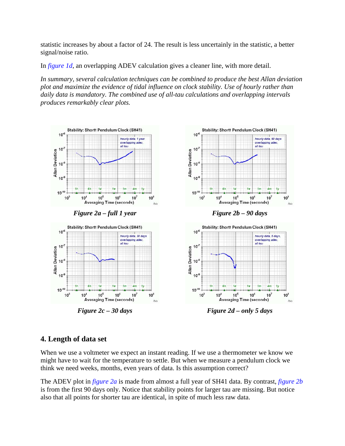statistic increases by about a factor of 24. The result is less uncertainly in the statistic, a better signal/noise ratio.

In *figure 1d*, an overlapping ADEV calculation gives a cleaner line, with more detail.

*In summary, several calculation techniques can be combined to produce the best Allan deviation plot and maximize the evidence of tidal influence on clock stability. Use of hourly rather than daily data is mandatory. The combined use of all-tau calculations and overlapping intervals produces remarkably clear plots.*



*Figure 2c – 30 days Figure 2d – only 5 days* 

### **4. Length of data set**

When we use a voltmeter we expect an instant reading. If we use a thermometer we know we might have to wait for the temperature to settle. But when we measure a pendulum clock we think we need weeks, months, even years of data. Is this assumption correct?

The ADEV plot in *figure 2a* is made from almost a full year of SH41 data. By contrast, *figure 2b* is from the first 90 days only. Notice that stability points for larger tau are missing. But notice also that all points for shorter tau are identical, in spite of much less raw data.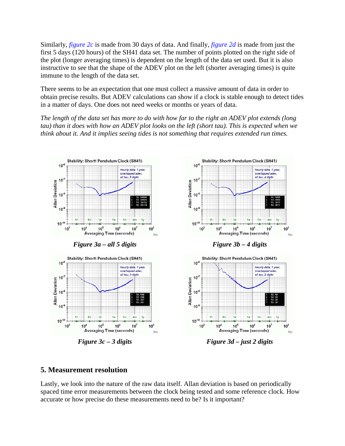Similarly, *figure 2c* is made from 30 days of data. And finally, *figure 2d* is made from just the first 5 days (120 hours) of the SH41 data set. The number of points plotted on the right side of the plot (longer averaging times) is dependent on the length of the data set used. But it is also instructive to see that the shape of the ADEV plot on the left (shorter averaging times) is quite immune to the length of the data set.

There seems to be an expectation that one must collect a massive amount of data in order to obtain precise results. But ADEV calculations can show if a clock is stable enough to detect tides in a matter of days. One does not need weeks or months or years of data.

*The length of the data set has more to do with how far to the right an ADEV plot extends (long tau) than it does with how an ADEV plot looks on the left (short tau). This is expected when we think about it. And it implies seeing tides is not something that requires extended run times.*



*Figure 3c – 3 digits Figure 3d – just 2 digits* 

#### **5. Measurement resolution**

Lastly, we look into the nature of the raw data itself. Allan deviation is based on periodically spaced time error measurements between the clock being tested and some reference clock. How accurate or how precise do these measurements need to be? Is it important?